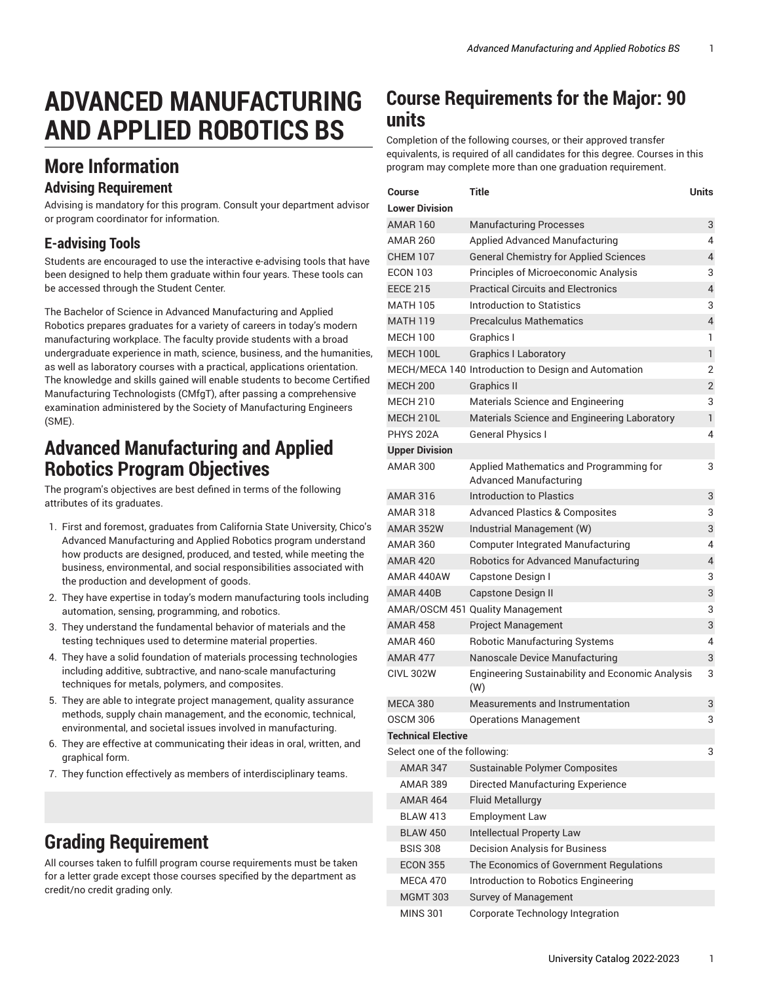# **ADVANCED MANUFACTURING AND APPLIED ROBOTICS BS**

## **More Information**

#### **Advising Requirement**

Advising is mandatory for this program. Consult your department advisor or program coordinator for information.

#### **E-advising Tools**

Students are encouraged to use the interactive e-advising tools that have been designed to help them graduate within four years. These tools can be accessed through the Student Center.

The Bachelor of Science in Advanced Manufacturing and Applied Robotics prepares graduates for a variety of careers in today's modern manufacturing workplace. The faculty provide students with a broad undergraduate experience in math, science, business, and the humanities, as well as laboratory courses with a practical, applications orientation. The knowledge and skills gained will enable students to become Certified Manufacturing Technologists (CMfgT), after passing a comprehensive examination administered by the Society of Manufacturing Engineers (SME).

#### **Advanced Manufacturing and Applied Robotics Program Objectives**

The program's objectives are best defined in terms of the following attributes of its graduates.

- 1. First and foremost, graduates from California State University, Chico's Advanced Manufacturing and Applied Robotics program understand how products are designed, produced, and tested, while meeting the business, environmental, and social responsibilities associated with the production and development of goods.
- 2. They have expertise in today's modern manufacturing tools including automation, sensing, programming, and robotics.
- 3. They understand the fundamental behavior of materials and the testing techniques used to determine material properties.
- 4. They have a solid foundation of materials processing technologies including additive, subtractive, and nano-scale manufacturing techniques for metals, polymers, and composites.
- 5. They are able to integrate project management, quality assurance methods, supply chain management, and the economic, technical, environmental, and societal issues involved in manufacturing.
- 6. They are effective at communicating their ideas in oral, written, and graphical form.
- 7. They function effectively as members of interdisciplinary teams.

## **Grading Requirement**

All courses taken to fulfill program course requirements must be taken for a letter grade except those courses specified by the department as credit/no credit grading only.

#### **Course Requirements for the Major: 90 units**

Completion of the following courses, or their approved transfer equivalents, is required of all candidates for this degree. Courses in this program may complete more than one graduation requirement.

| Course                       | Title                                                             | Units          |
|------------------------------|-------------------------------------------------------------------|----------------|
| <b>Lower Division</b>        |                                                                   |                |
| <b>AMAR 160</b>              | <b>Manufacturing Processes</b>                                    | 3              |
| <b>AMAR 260</b>              | <b>Applied Advanced Manufacturing</b>                             | 4              |
| <b>CHEM 107</b>              | <b>General Chemistry for Applied Sciences</b>                     | 4              |
| <b>ECON 103</b>              | Principles of Microeconomic Analysis                              | 3              |
| <b>EECE 215</b>              | <b>Practical Circuits and Electronics</b>                         | 4              |
| <b>MATH 105</b>              | Introduction to Statistics                                        | 3              |
| <b>MATH 119</b>              | <b>Precalculus Mathematics</b>                                    | $\overline{4}$ |
| <b>MECH 100</b>              | Graphics I                                                        | 1              |
| MECH 100L                    | <b>Graphics I Laboratory</b>                                      | $\mathbf{1}$   |
|                              | MECH/MECA 140 Introduction to Design and Automation               | 2              |
| <b>MECH 200</b>              | <b>Graphics II</b>                                                | 2              |
| <b>MECH 210</b>              | Materials Science and Engineering                                 | 3              |
| MECH 210L                    | Materials Science and Engineering Laboratory                      | $\mathbf{1}$   |
| <b>PHYS 202A</b>             | <b>General Physics I</b>                                          | 4              |
| <b>Upper Division</b>        |                                                                   |                |
| AMAR 300                     | Applied Mathematics and Programming for<br>Advanced Manufacturing | 3              |
| <b>AMAR 316</b>              | Introduction to Plastics                                          | 3              |
| <b>AMAR 318</b>              | <b>Advanced Plastics &amp; Composites</b>                         | 3              |
| AMAR 352W                    | Industrial Management (W)                                         | 3              |
| <b>AMAR 360</b>              | <b>Computer Integrated Manufacturing</b>                          | 4              |
| <b>AMAR 420</b>              | <b>Robotics for Advanced Manufacturing</b>                        | 4              |
| AMAR 440AW                   | Capstone Design I                                                 | 3              |
| AMAR 440B                    | <b>Capstone Design II</b>                                         | 3              |
|                              | AMAR/OSCM 451 Quality Management                                  | 3              |
| <b>AMAR 458</b>              | <b>Project Management</b>                                         | 3              |
| <b>AMAR 460</b>              | Robotic Manufacturing Systems                                     | 4              |
| AMAR 477                     | Nanoscale Device Manufacturing                                    | 3              |
| <b>CIVL 302W</b>             | Engineering Sustainability and Economic Analysis<br>(W)           | 3              |
| <b>MECA 380</b>              | Measurements and Instrumentation                                  | 3              |
| <b>OSCM 306</b>              | <b>Operations Management</b>                                      | 3              |
| <b>Technical Elective</b>    |                                                                   |                |
| Select one of the following: |                                                                   | 3              |
| <b>AMAR 347</b>              | Sustainable Polymer Composites                                    |                |
| <b>AMAR 389</b>              | Directed Manufacturing Experience                                 |                |
| <b>AMAR 464</b>              | <b>Fluid Metallurgy</b>                                           |                |
| <b>BLAW 413</b>              | <b>Employment Law</b>                                             |                |
| <b>BLAW 450</b>              | Intellectual Property Law                                         |                |
| <b>BSIS 308</b>              | <b>Decision Analysis for Business</b>                             |                |
| <b>ECON 355</b>              | The Economics of Government Regulations                           |                |
| MECA 470                     | Introduction to Robotics Engineering                              |                |
| <b>MGMT 303</b>              | Survey of Management                                              |                |
| <b>MINS 301</b>              | Corporate Technology Integration                                  |                |